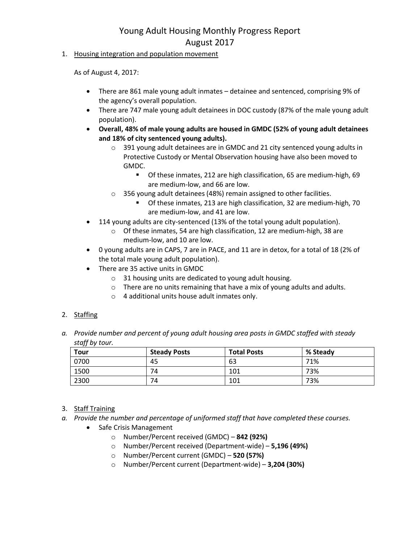1. Housing integration and population movement

As of August 4, 2017:

- There are 861 male young adult inmates detainee and sentenced, comprising 9% of the agency's overall population.
- There are 747 male young adult detainees in DOC custody (87% of the male young adult population).
- **Overall, 48% of male young adults are housed in GMDC (52% of young adult detainees and 18% of city sentenced young adults).**
	- o 391 young adult detainees are in GMDC and 21 city sentenced young adults in Protective Custody or Mental Observation housing have also been moved to GMDC.
		- **Of these inmates, 212 are high classification, 65 are medium-high, 69** are medium-low, and 66 are low.
	- o 356 young adult detainees (48%) remain assigned to other facilities.
		- **Of these inmates, 213 are high classification, 32 are medium-high, 70** are medium-low, and 41 are low.
- 114 young adults are city-sentenced (13% of the total young adult population).
	- o Of these inmates, 54 are high classification, 12 are medium-high, 38 are medium-low, and 10 are low.
- 0 young adults are in CAPS, 7 are in PACE, and 11 are in detox, for a total of 18 (2% of the total male young adult population).
- There are 35 active units in GMDC
	- o 31 housing units are dedicated to young adult housing.
	- o There are no units remaining that have a mix of young adults and adults.
	- o 4 additional units house adult inmates only.

### 2. Staffing

*a. Provide number and percent of young adult housing area posts in GMDC staffed with steady staff by tour.*

| <b>Tour</b> | <b>Steady Posts</b> | <b>Total Posts</b> | % Steady |
|-------------|---------------------|--------------------|----------|
| 0700        | 45                  | 63                 | 71%      |
| 1500        | 74                  | 101                | 73%      |
| 2300        | 74                  | 101                | 73%      |

### 3. Staff Training

- *a. Provide the number and percentage of uniformed staff that have completed these courses.*
	- Safe Crisis Management
		- o Number/Percent received (GMDC) **842 (92%)**
		- o Number/Percent received (Department-wide) **5,196 (49%)**
		- o Number/Percent current (GMDC) **520 (57%)**
		- o Number/Percent current (Department-wide) **3,204 (30%)**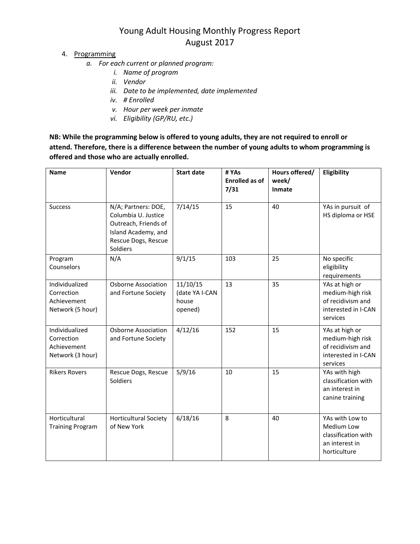- 4. Programming
	- *a. For each current or planned program:*
		- *i. Name of program*
		- *ii. Vendor*
		- *iii. Date to be implemented, date implemented*
		- *iv. # Enrolled*
		- *v. Hour per week per inmate*
		- *vi. Eligibility (GP/RU, etc.)*

**NB: While the programming below is offered to young adults, they are not required to enroll or attend. Therefore, there is a difference between the number of young adults to whom programming is offered and those who are actually enrolled.**

| <b>Name</b>                                                     | Vendor                                                                                                                       | <b>Start date</b>                              | # YAs<br><b>Enrolled as of</b><br>7/31 | Hours offered/<br>week/<br>Inmate | Eligibility                                                                                |
|-----------------------------------------------------------------|------------------------------------------------------------------------------------------------------------------------------|------------------------------------------------|----------------------------------------|-----------------------------------|--------------------------------------------------------------------------------------------|
| <b>Success</b>                                                  | N/A; Partners: DOE,<br>Columbia U. Justice<br>Outreach, Friends of<br>Island Academy, and<br>Rescue Dogs, Rescue<br>Soldiers | 7/14/15                                        | 15                                     | 40                                | YAs in pursuit of<br>HS diploma or HSE                                                     |
| Program<br>Counselors                                           | N/A                                                                                                                          | 9/1/15                                         | 103                                    | 25                                | No specific<br>eligibility<br>requirements                                                 |
| Individualized<br>Correction<br>Achievement<br>Network (5 hour) | <b>Osborne Association</b><br>and Fortune Society                                                                            | 11/10/15<br>(date YA I-CAN<br>house<br>opened) | 13                                     | 35                                | YAs at high or<br>medium-high risk<br>of recidivism and<br>interested in I-CAN<br>services |
| Individualized<br>Correction<br>Achievement<br>Network (3 hour) | <b>Osborne Association</b><br>and Fortune Society                                                                            | 4/12/16                                        | 152                                    | 15                                | YAs at high or<br>medium-high risk<br>of recidivism and<br>interested in I-CAN<br>services |
| <b>Rikers Rovers</b>                                            | Rescue Dogs, Rescue<br>Soldiers                                                                                              | 5/9/16                                         | 10                                     | 15                                | YAs with high<br>classification with<br>an interest in<br>canine training                  |
| Horticultural<br><b>Training Program</b>                        | <b>Horticultural Society</b><br>of New York                                                                                  | 6/18/16                                        | 8                                      | 40                                | YAs with Low to<br>Medium Low<br>classification with<br>an interest in<br>horticulture     |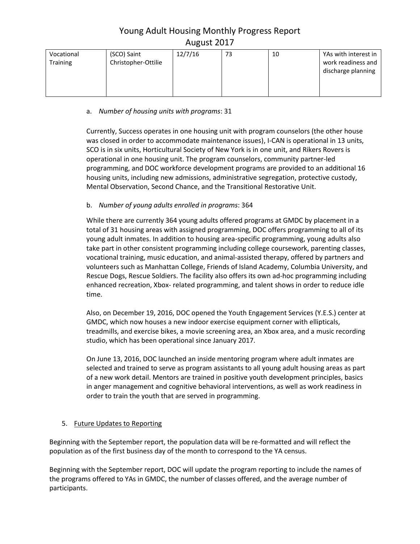| (SCO) Saint<br>Vocational<br>Christopher-Ottilie<br><b>Training</b> | 12/7/16 | 73 | 10 | YAs with interest in<br>work readiness and<br>discharge planning |
|---------------------------------------------------------------------|---------|----|----|------------------------------------------------------------------|
|---------------------------------------------------------------------|---------|----|----|------------------------------------------------------------------|

### a. *Number of housing units with programs*: 31

Currently, Success operates in one housing unit with program counselors (the other house was closed in order to accommodate maintenance issues), I-CAN is operational in 13 units, SCO is in six units, Horticultural Society of New York is in one unit, and Rikers Rovers is operational in one housing unit. The program counselors, community partner-led programming, and DOC workforce development programs are provided to an additional 16 housing units, including new admissions, administrative segregation, protective custody, Mental Observation, Second Chance, and the Transitional Restorative Unit.

### b. *Number of young adults enrolled in programs*: 364

While there are currently 364 young adults offered programs at GMDC by placement in a total of 31 housing areas with assigned programming, DOC offers programming to all of its young adult inmates. In addition to housing area-specific programming, young adults also take part in other consistent programming including college coursework, parenting classes, vocational training, music education, and animal-assisted therapy, offered by partners and volunteers such as Manhattan College, Friends of Island Academy, Columbia University, and Rescue Dogs, Rescue Soldiers. The facility also offers its own ad-hoc programming including enhanced recreation, Xbox- related programming, and talent shows in order to reduce idle time.

Also, on December 19, 2016, DOC opened the Youth Engagement Services (Y.E.S.) center at GMDC, which now houses a new indoor exercise equipment corner with ellipticals, treadmills, and exercise bikes, a movie screening area, an Xbox area, and a music recording studio, which has been operational since January 2017.

On June 13, 2016, DOC launched an inside mentoring program where adult inmates are selected and trained to serve as program assistants to all young adult housing areas as part of a new work detail. Mentors are trained in positive youth development principles, basics in anger management and cognitive behavioral interventions, as well as work readiness in order to train the youth that are served in programming.

## 5. Future Updates to Reporting

Beginning with the September report, the population data will be re-formatted and will reflect the population as of the first business day of the month to correspond to the YA census.

Beginning with the September report, DOC will update the program reporting to include the names of the programs offered to YAs in GMDC, the number of classes offered, and the average number of participants.